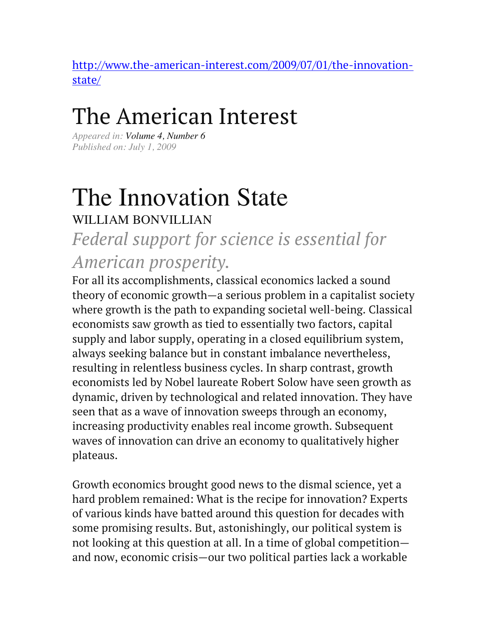http://www.the-american-interest.com/2009/07/01/the-innovationstate/

## The American Interest

*Appeared in: Volume 4, Number 6 Published on: July 1, 2009*

# The Innovation State

WILLIAM BONVILLIAN

### *Federal support for science is essential for American prosperity.*

For all its accomplishments, classical economics lacked a sound theory of economic growth—a serious problem in a capitalist society where growth is the path to expanding societal well-being. Classical economists saw growth as tied to essentially two factors, capital supply and labor supply, operating in a closed equilibrium system, always seeking balance but in constant imbalance nevertheless, resulting in relentless business cycles. In sharp contrast, growth economists led by Nobel laureate Robert Solow have seen growth as dynamic, driven by technological and related innovation. They have seen that as a wave of innovation sweeps through an economy, increasing productivity enables real income growth. Subsequent waves of innovation can drive an economy to qualitatively higher plateaus.

Growth economics brought good news to the dismal science, yet a hard problem remained: What is the recipe for innovation? Experts of various kinds have batted around this question for decades with some promising results. But, astonishingly, our political system is not looking at this question at all. In a time of global competition and now, economic crisis—our two political parties lack a workable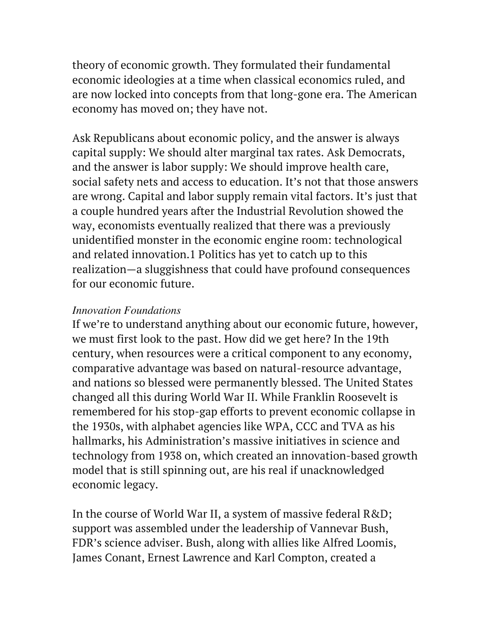theory of economic growth. They formulated their fundamental economic ideologies at a time when classical economics ruled, and are now locked into concepts from that long-gone era. The American economy has moved on; they have not.

Ask Republicans about economic policy, and the answer is always capital supply: We should alter marginal tax rates. Ask Democrats, and the answer is labor supply: We should improve health care, social safety nets and access to education. It's not that those answers are wrong. Capital and labor supply remain vital factors. It's just that a couple hundred years after the Industrial Revolution showed the way, economists eventually realized that there was a previously unidentified monster in the economic engine room: technological and related innovation.1 Politics has yet to catch up to this realization—a sluggishness that could have profound consequences for our economic future.

#### *Innovation Foundations*

If we're to understand anything about our economic future, however, we must first look to the past. How did we get here? In the 19th century, when resources were a critical component to any economy, comparative advantage was based on natural-resource advantage, and nations so blessed were permanently blessed. The United States changed all this during World War II. While Franklin Roosevelt is remembered for his stop-gap efforts to prevent economic collapse in the 1930s, with alphabet agencies like WPA, CCC and TVA as his hallmarks, his Administration's massive initiatives in science and technology from 1938 on, which created an innovation-based growth model that is still spinning out, are his real if unacknowledged economic legacy.

In the course of World War II, a system of massive federal R&D; support was assembled under the leadership of Vannevar Bush, FDR's science adviser. Bush, along with allies like Alfred Loomis, James Conant, Ernest Lawrence and Karl Compton, created a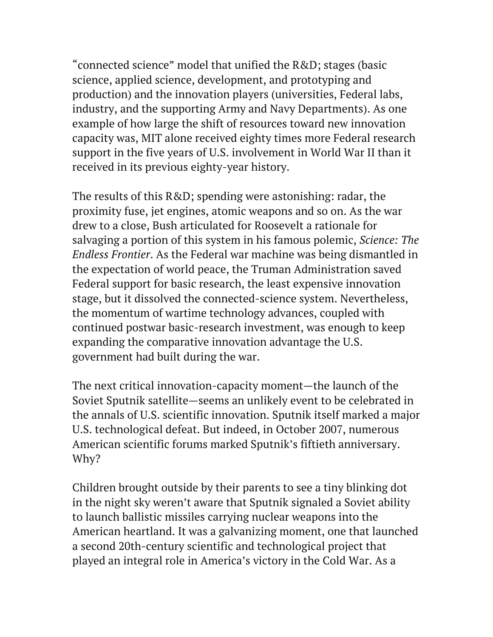"connected science" model that unified the R&D; stages (basic science, applied science, development, and prototyping and production) and the innovation players (universities, Federal labs, industry, and the supporting Army and Navy Departments). As one example of how large the shift of resources toward new innovation capacity was, MIT alone received eighty times more Federal research support in the five years of U.S. involvement in World War II than it received in its previous eighty-year history.

The results of this R&D; spending were astonishing: radar, the proximity fuse, jet engines, atomic weapons and so on. As the war drew to a close, Bush articulated for Roosevelt a rationale for salvaging a portion of this system in his famous polemic, *Science: The Endless Frontier*. As the Federal war machine was being dismantled in the expectation of world peace, the Truman Administration saved Federal support for basic research, the least expensive innovation stage, but it dissolved the connected-science system. Nevertheless, the momentum of wartime technology advances, coupled with continued postwar basic-research investment, was enough to keep expanding the comparative innovation advantage the U.S. government had built during the war.

The next critical innovation-capacity moment—the launch of the Soviet Sputnik satellite—seems an unlikely event to be celebrated in the annals of U.S. scientific innovation. Sputnik itself marked a major U.S. technological defeat. But indeed, in October 2007, numerous American scientific forums marked Sputnik's fiftieth anniversary. Why?

Children brought outside by their parents to see a tiny blinking dot in the night sky weren't aware that Sputnik signaled a Soviet ability to launch ballistic missiles carrying nuclear weapons into the American heartland. It was a galvanizing moment, one that launched a second 20th-century scientific and technological project that played an integral role in America's victory in the Cold War. As a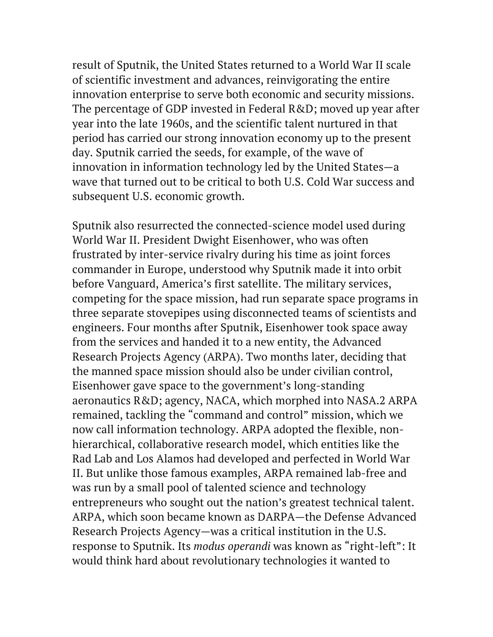result of Sputnik, the United States returned to a World War II scale of scientific investment and advances, reinvigorating the entire innovation enterprise to serve both economic and security missions. The percentage of GDP invested in Federal R&D; moved up year after year into the late 1960s, and the scientific talent nurtured in that period has carried our strong innovation economy up to the present day. Sputnik carried the seeds, for example, of the wave of innovation in information technology led by the United States—a wave that turned out to be critical to both U.S. Cold War success and subsequent U.S. economic growth.

Sputnik also resurrected the connected-science model used during World War II. President Dwight Eisenhower, who was often frustrated by inter-service rivalry during his time as joint forces commander in Europe, understood why Sputnik made it into orbit before Vanguard, America's first satellite. The military services, competing for the space mission, had run separate space programs in three separate stovepipes using disconnected teams of scientists and engineers. Four months after Sputnik, Eisenhower took space away from the services and handed it to a new entity, the Advanced Research Projects Agency (ARPA). Two months later, deciding that the manned space mission should also be under civilian control, Eisenhower gave space to the government's long-standing aeronautics R&D; agency, NACA, which morphed into NASA.2 ARPA remained, tackling the "command and control" mission, which we now call information technology. ARPA adopted the flexible, nonhierarchical, collaborative research model, which entities like the Rad Lab and Los Alamos had developed and perfected in World War II. But unlike those famous examples, ARPA remained lab-free and was run by a small pool of talented science and technology entrepreneurs who sought out the nation's greatest technical talent. ARPA, which soon became known as DARPA—the Defense Advanced Research Projects Agency—was a critical institution in the U.S. response to Sputnik. Its *modus operandi* was known as "right-left": It would think hard about revolutionary technologies it wanted to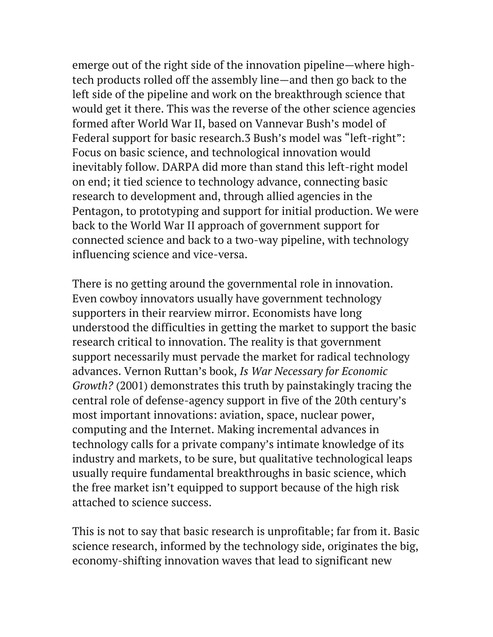emerge out of the right side of the innovation pipeline—where hightech products rolled off the assembly line—and then go back to the left side of the pipeline and work on the breakthrough science that would get it there. This was the reverse of the other science agencies formed after World War II, based on Vannevar Bush's model of Federal support for basic research.3 Bush's model was "left-right": Focus on basic science, and technological innovation would inevitably follow. DARPA did more than stand this left-right model on end; it tied science to technology advance, connecting basic research to development and, through allied agencies in the Pentagon, to prototyping and support for initial production. We were back to the World War II approach of government support for connected science and back to a two-way pipeline, with technology influencing science and vice-versa.

There is no getting around the governmental role in innovation. Even cowboy innovators usually have government technology supporters in their rearview mirror. Economists have long understood the difficulties in getting the market to support the basic research critical to innovation. The reality is that government support necessarily must pervade the market for radical technology advances. Vernon Ruttan's book, *Is War Necessary for Economic Growth?* (2001) demonstrates this truth by painstakingly tracing the central role of defense-agency support in five of the 20th century's most important innovations: aviation, space, nuclear power, computing and the Internet. Making incremental advances in technology calls for a private company's intimate knowledge of its industry and markets, to be sure, but qualitative technological leaps usually require fundamental breakthroughs in basic science, which the free market isn't equipped to support because of the high risk attached to science success.

This is not to say that basic research is unprofitable; far from it. Basic science research, informed by the technology side, originates the big, economy-shifting innovation waves that lead to significant new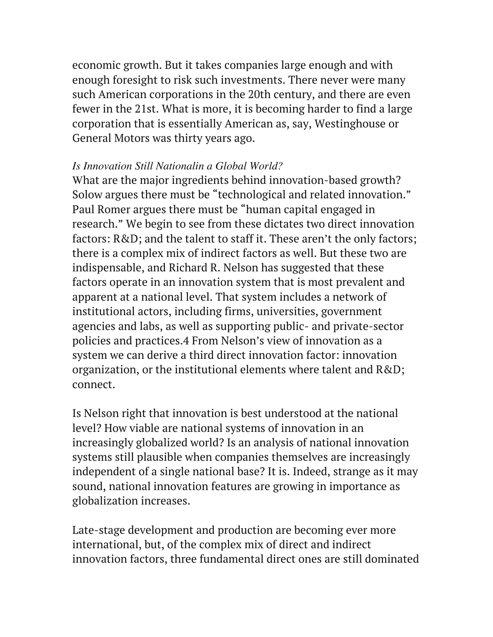economic growth. But it takes companies large enough and with enough foresight to risk such investments. There never were many such American corporations in the 20th century, and there are even fewer in the 21st. What is more, it is becoming harder to find a large corporation that is essentially American as, say, Westinghouse or General Motors was thirty years ago.

#### *Is Innovation Still Nationalin a Global World?*

What are the major ingredients behind innovation-based growth? Solow argues there must be "technological and related innovation." Paul Romer argues there must be "human capital engaged in research." We begin to see from these dictates two direct innovation factors: R&D; and the talent to staff it. These aren't the only factors; there is a complex mix of indirect factors as well. But these two are indispensable, and Richard R. Nelson has suggested that these factors operate in an innovation system that is most prevalent and apparent at a national level. That system includes a network of institutional actors, including firms, universities, government agencies and labs, as well as supporting public- and private-sector policies and practices.4 From Nelson's view of innovation as a system we can derive a third direct innovation factor: innovation organization, or the institutional elements where talent and R&D; connect.

Is Nelson right that innovation is best understood at the national level? How viable are national systems of innovation in an increasingly globalized world? Is an analysis of national innovation systems still plausible when companies themselves are increasingly independent of a single national base? It is. Indeed, strange as it may sound, national innovation features are growing in importance as globalization increases.

Late-stage development and production are becoming ever more international, but, of the complex mix of direct and indirect innovation factors, three fundamental direct ones are still dominated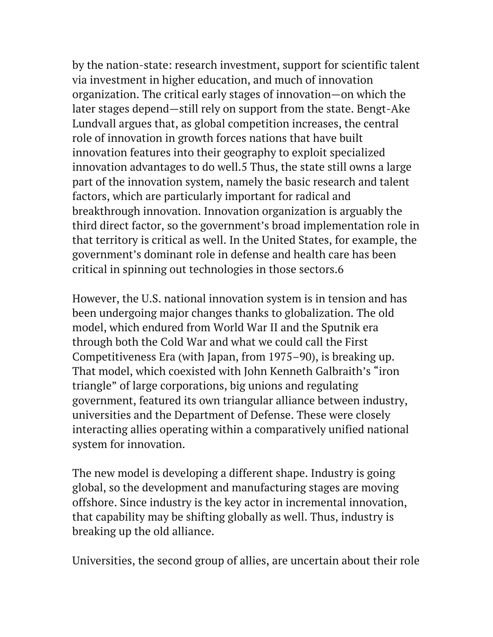by the nation-state: research investment, support for scientific talent via investment in higher education, and much of innovation organization. The critical early stages of innovation—on which the later stages depend—still rely on support from the state. Bengt-Ake Lundvall argues that, as global competition increases, the central role of innovation in growth forces nations that have built innovation features into their geography to exploit specialized innovation advantages to do well.5 Thus, the state still owns a large part of the innovation system, namely the basic research and talent factors, which are particularly important for radical and breakthrough innovation. Innovation organization is arguably the third direct factor, so the government's broad implementation role in that territory is critical as well. In the United States, for example, the government's dominant role in defense and health care has been critical in spinning out technologies in those sectors.6

However, the U.S. national innovation system is in tension and has been undergoing major changes thanks to globalization. The old model, which endured from World War II and the Sputnik era through both the Cold War and what we could call the First Competitiveness Era (with Japan, from 1975–90), is breaking up. That model, which coexisted with John Kenneth Galbraith's "iron triangle" of large corporations, big unions and regulating government, featured its own triangular alliance between industry, universities and the Department of Defense. These were closely interacting allies operating within a comparatively unified national system for innovation.

The new model is developing a different shape. Industry is going global, so the development and manufacturing stages are moving offshore. Since industry is the key actor in incremental innovation, that capability may be shifting globally as well. Thus, industry is breaking up the old alliance.

Universities, the second group of allies, are uncertain about their role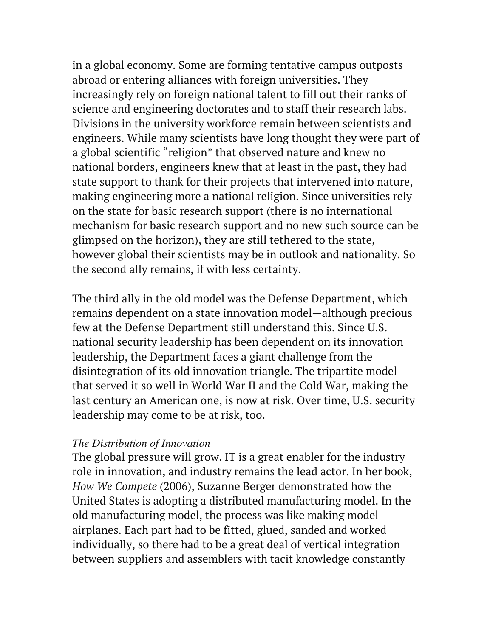in a global economy. Some are forming tentative campus outposts abroad or entering alliances with foreign universities. They increasingly rely on foreign national talent to fill out their ranks of science and engineering doctorates and to staff their research labs. Divisions in the university workforce remain between scientists and engineers. While many scientists have long thought they were part of a global scientific "religion" that observed nature and knew no national borders, engineers knew that at least in the past, they had state support to thank for their projects that intervened into nature, making engineering more a national religion. Since universities rely on the state for basic research support (there is no international mechanism for basic research support and no new such source can be glimpsed on the horizon), they are still tethered to the state, however global their scientists may be in outlook and nationality. So the second ally remains, if with less certainty.

The third ally in the old model was the Defense Department, which remains dependent on a state innovation model—although precious few at the Defense Department still understand this. Since U.S. national security leadership has been dependent on its innovation leadership, the Department faces a giant challenge from the disintegration of its old innovation triangle. The tripartite model that served it so well in World War II and the Cold War, making the last century an American one, is now at risk. Over time, U.S. security leadership may come to be at risk, too.

#### *The Distribution of Innovation*

The global pressure will grow. IT is a great enabler for the industry role in innovation, and industry remains the lead actor. In her book, *How We Compete* (2006), Suzanne Berger demonstrated how the United States is adopting a distributed manufacturing model. In the old manufacturing model, the process was like making model airplanes. Each part had to be fitted, glued, sanded and worked individually, so there had to be a great deal of vertical integration between suppliers and assemblers with tacit knowledge constantly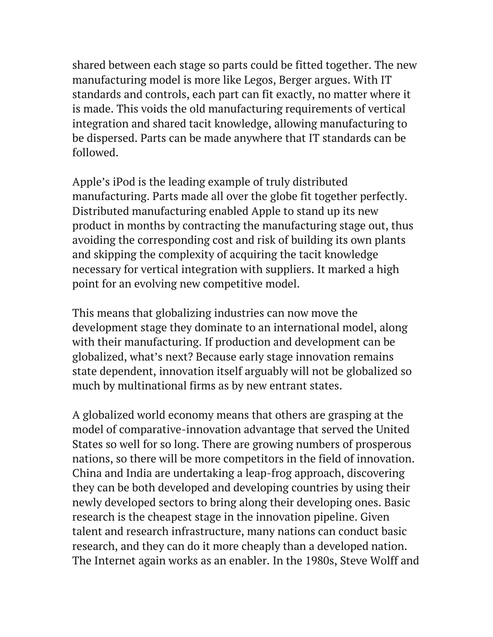shared between each stage so parts could be fitted together. The new manufacturing model is more like Legos, Berger argues. With IT standards and controls, each part can fit exactly, no matter where it is made. This voids the old manufacturing requirements of vertical integration and shared tacit knowledge, allowing manufacturing to be dispersed. Parts can be made anywhere that IT standards can be followed.

Apple's iPod is the leading example of truly distributed manufacturing. Parts made all over the globe fit together perfectly. Distributed manufacturing enabled Apple to stand up its new product in months by contracting the manufacturing stage out, thus avoiding the corresponding cost and risk of building its own plants and skipping the complexity of acquiring the tacit knowledge necessary for vertical integration with suppliers. It marked a high point for an evolving new competitive model.

This means that globalizing industries can now move the development stage they dominate to an international model, along with their manufacturing. If production and development can be globalized, what's next? Because early stage innovation remains state dependent, innovation itself arguably will not be globalized so much by multinational firms as by new entrant states.

A globalized world economy means that others are grasping at the model of comparative-innovation advantage that served the United States so well for so long. There are growing numbers of prosperous nations, so there will be more competitors in the field of innovation. China and India are undertaking a leap-frog approach, discovering they can be both developed and developing countries by using their newly developed sectors to bring along their developing ones. Basic research is the cheapest stage in the innovation pipeline. Given talent and research infrastructure, many nations can conduct basic research, and they can do it more cheaply than a developed nation. The Internet again works as an enabler. In the 1980s, Steve Wolff and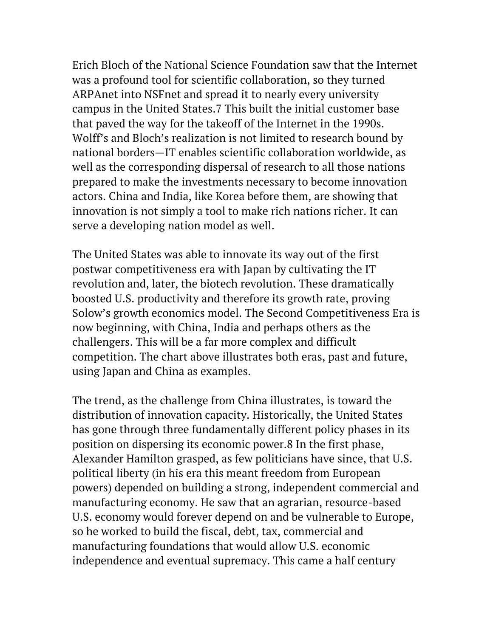Erich Bloch of the National Science Foundation saw that the Internet was a profound tool for scientific collaboration, so they turned ARPAnet into NSFnet and spread it to nearly every university campus in the United States.7 This built the initial customer base that paved the way for the takeoff of the Internet in the 1990s. Wolff's and Bloch's realization is not limited to research bound by national borders—IT enables scientific collaboration worldwide, as well as the corresponding dispersal of research to all those nations prepared to make the investments necessary to become innovation actors. China and India, like Korea before them, are showing that innovation is not simply a tool to make rich nations richer. It can serve a developing nation model as well.

The United States was able to innovate its way out of the first postwar competitiveness era with Japan by cultivating the IT revolution and, later, the biotech revolution. These dramatically boosted U.S. productivity and therefore its growth rate, proving Solow's growth economics model. The Second Competitiveness Era is now beginning, with China, India and perhaps others as the challengers. This will be a far more complex and difficult competition. The chart above illustrates both eras, past and future, using Japan and China as examples.

The trend, as the challenge from China illustrates, is toward the distribution of innovation capacity. Historically, the United States has gone through three fundamentally different policy phases in its position on dispersing its economic power.8 In the first phase, Alexander Hamilton grasped, as few politicians have since, that U.S. political liberty (in his era this meant freedom from European powers) depended on building a strong, independent commercial and manufacturing economy. He saw that an agrarian, resource-based U.S. economy would forever depend on and be vulnerable to Europe, so he worked to build the fiscal, debt, tax, commercial and manufacturing foundations that would allow U.S. economic independence and eventual supremacy. This came a half century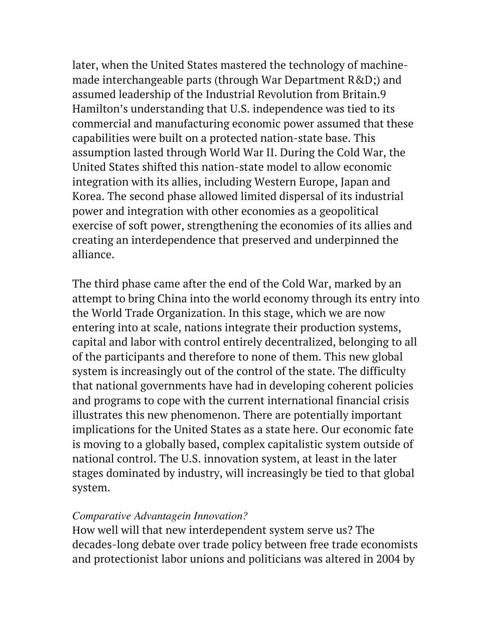later, when the United States mastered the technology of machinemade interchangeable parts (through War Department R&D;) and assumed leadership of the Industrial Revolution from Britain.9 Hamilton's understanding that U.S. independence was tied to its commercial and manufacturing economic power assumed that these capabilities were built on a protected nation-state base. This assumption lasted through World War II. During the Cold War, the United States shifted this nation-state model to allow economic integration with its allies, including Western Europe, Japan and Korea. The second phase allowed limited dispersal of its industrial power and integration with other economies as a geopolitical exercise of soft power, strengthening the economies of its allies and creating an interdependence that preserved and underpinned the alliance.

The third phase came after the end of the Cold War, marked by an attempt to bring China into the world economy through its entry into the World Trade Organization. In this stage, which we are now entering into at scale, nations integrate their production systems, capital and labor with control entirely decentralized, belonging to all of the participants and therefore to none of them. This new global system is increasingly out of the control of the state. The difficulty that national governments have had in developing coherent policies and programs to cope with the current international financial crisis illustrates this new phenomenon. There are potentially important implications for the United States as a state here. Our economic fate is moving to a globally based, complex capitalistic system outside of national control. The U.S. innovation system, at least in the later stages dominated by industry, will increasingly be tied to that global system.

#### *Comparative Advantagein Innovation?*

How well will that new interdependent system serve us? The decades-long debate over trade policy between free trade economists and protectionist labor unions and politicians was altered in 2004 by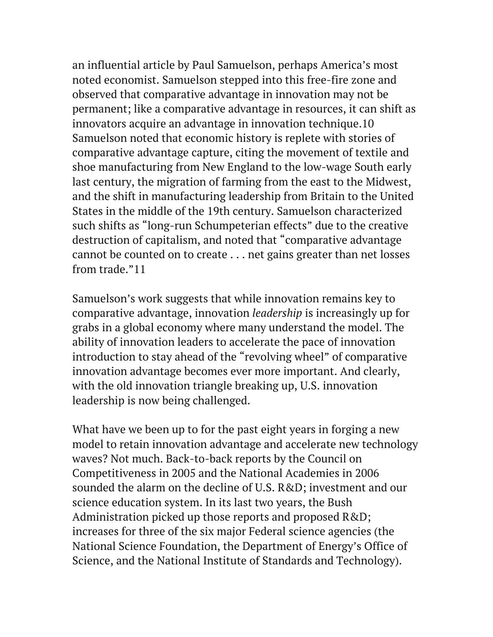an influential article by Paul Samuelson, perhaps America's most noted economist. Samuelson stepped into this free-fire zone and observed that comparative advantage in innovation may not be permanent; like a comparative advantage in resources, it can shift as innovators acquire an advantage in innovation technique.10 Samuelson noted that economic history is replete with stories of comparative advantage capture, citing the movement of textile and shoe manufacturing from New England to the low-wage South early last century, the migration of farming from the east to the Midwest, and the shift in manufacturing leadership from Britain to the United States in the middle of the 19th century. Samuelson characterized such shifts as "long-run Schumpeterian effects" due to the creative destruction of capitalism, and noted that "comparative advantage cannot be counted on to create . . . net gains greater than net losses from trade."11

Samuelson's work suggests that while innovation remains key to comparative advantage, innovation *leadership* is increasingly up for grabs in a global economy where many understand the model. The ability of innovation leaders to accelerate the pace of innovation introduction to stay ahead of the "revolving wheel" of comparative innovation advantage becomes ever more important. And clearly, with the old innovation triangle breaking up, U.S. innovation leadership is now being challenged.

What have we been up to for the past eight years in forging a new model to retain innovation advantage and accelerate new technology waves? Not much. Back-to-back reports by the Council on Competitiveness in 2005 and the National Academies in 2006 sounded the alarm on the decline of U.S. R&D; investment and our science education system. In its last two years, the Bush Administration picked up those reports and proposed R&D; increases for three of the six major Federal science agencies (the National Science Foundation, the Department of Energy's Office of Science, and the National Institute of Standards and Technology).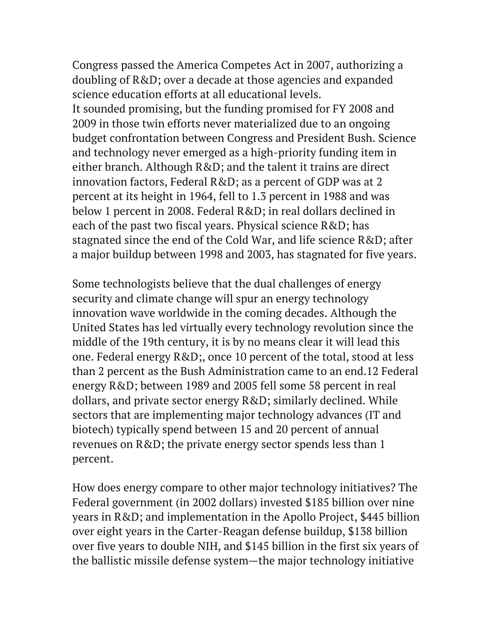Congress passed the America Competes Act in 2007, authorizing a doubling of R&D; over a decade at those agencies and expanded science education efforts at all educational levels. It sounded promising, but the funding promised for FY 2008 and 2009 in those twin efforts never materialized due to an ongoing budget confrontation between Congress and President Bush. Science and technology never emerged as a high-priority funding item in either branch. Although R&D; and the talent it trains are direct innovation factors, Federal R&D; as a percent of GDP was at 2 percent at its height in 1964, fell to 1.3 percent in 1988 and was below 1 percent in 2008. Federal R&D; in real dollars declined in each of the past two fiscal years. Physical science R&D; has stagnated since the end of the Cold War, and life science R&D; after a major buildup between 1998 and 2003, has stagnated for five years.

Some technologists believe that the dual challenges of energy security and climate change will spur an energy technology innovation wave worldwide in the coming decades. Although the United States has led virtually every technology revolution since the middle of the 19th century, it is by no means clear it will lead this one. Federal energy R&D;, once 10 percent of the total, stood at less than 2 percent as the Bush Administration came to an end.12 Federal energy R&D; between 1989 and 2005 fell some 58 percent in real dollars, and private sector energy R&D; similarly declined. While sectors that are implementing major technology advances (IT and biotech) typically spend between 15 and 20 percent of annual revenues on R&D; the private energy sector spends less than 1 percent.

How does energy compare to other major technology initiatives? The Federal government (in 2002 dollars) invested \$185 billion over nine years in R&D; and implementation in the Apollo Project, \$445 billion over eight years in the Carter-Reagan defense buildup, \$138 billion over five years to double NIH, and \$145 billion in the first six years of the ballistic missile defense system—the major technology initiative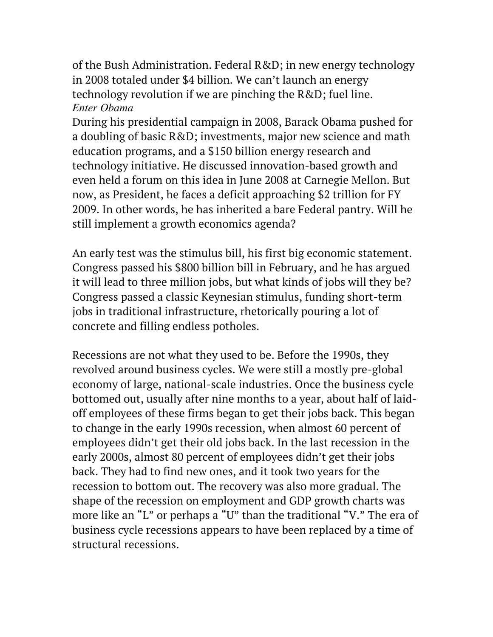of the Bush Administration. Federal R&D; in new energy technology in 2008 totaled under \$4 billion. We can't launch an energy technology revolution if we are pinching the R&D; fuel line. *Enter Obama*

During his presidential campaign in 2008, Barack Obama pushed for a doubling of basic R&D; investments, major new science and math education programs, and a \$150 billion energy research and technology initiative. He discussed innovation-based growth and even held a forum on this idea in June 2008 at Carnegie Mellon. But now, as President, he faces a deficit approaching \$2 trillion for FY 2009. In other words, he has inherited a bare Federal pantry. Will he still implement a growth economics agenda?

An early test was the stimulus bill, his first big economic statement. Congress passed his \$800 billion bill in February, and he has argued it will lead to three million jobs, but what kinds of jobs will they be? Congress passed a classic Keynesian stimulus, funding short-term jobs in traditional infrastructure, rhetorically pouring a lot of concrete and filling endless potholes.

Recessions are not what they used to be. Before the 1990s, they revolved around business cycles. We were still a mostly pre-global economy of large, national-scale industries. Once the business cycle bottomed out, usually after nine months to a year, about half of laidoff employees of these firms began to get their jobs back. This began to change in the early 1990s recession, when almost 60 percent of employees didn't get their old jobs back. In the last recession in the early 2000s, almost 80 percent of employees didn't get their jobs back. They had to find new ones, and it took two years for the recession to bottom out. The recovery was also more gradual. The shape of the recession on employment and GDP growth charts was more like an "L" or perhaps a "U" than the traditional "V." The era of business cycle recessions appears to have been replaced by a time of structural recessions.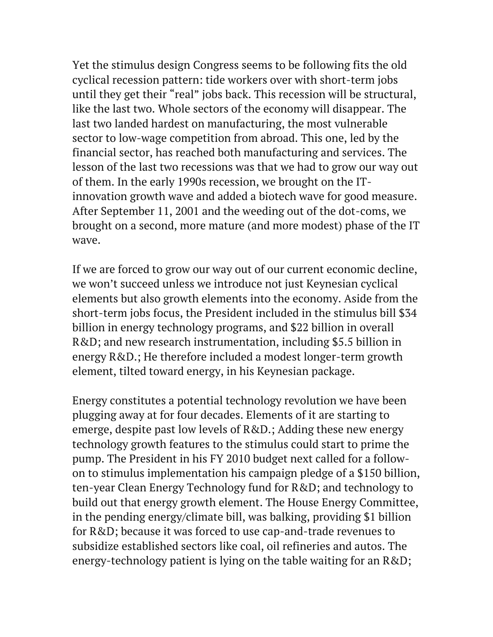Yet the stimulus design Congress seems to be following fits the old cyclical recession pattern: tide workers over with short-term jobs until they get their "real" jobs back. This recession will be structural, like the last two. Whole sectors of the economy will disappear. The last two landed hardest on manufacturing, the most vulnerable sector to low-wage competition from abroad. This one, led by the financial sector, has reached both manufacturing and services. The lesson of the last two recessions was that we had to grow our way out of them. In the early 1990s recession, we brought on the ITinnovation growth wave and added a biotech wave for good measure. After September 11, 2001 and the weeding out of the dot-coms, we brought on a second, more mature (and more modest) phase of the IT wave.

If we are forced to grow our way out of our current economic decline, we won't succeed unless we introduce not just Keynesian cyclical elements but also growth elements into the economy. Aside from the short-term jobs focus, the President included in the stimulus bill \$34 billion in energy technology programs, and \$22 billion in overall R&D; and new research instrumentation, including \$5.5 billion in energy R&D.; He therefore included a modest longer-term growth element, tilted toward energy, in his Keynesian package.

Energy constitutes a potential technology revolution we have been plugging away at for four decades. Elements of it are starting to emerge, despite past low levels of R&D.; Adding these new energy technology growth features to the stimulus could start to prime the pump. The President in his FY 2010 budget next called for a followon to stimulus implementation his campaign pledge of a \$150 billion, ten-year Clean Energy Technology fund for R&D; and technology to build out that energy growth element. The House Energy Committee, in the pending energy/climate bill, was balking, providing \$1 billion for R&D; because it was forced to use cap-and-trade revenues to subsidize established sectors like coal, oil refineries and autos. The energy-technology patient is lying on the table waiting for an R&D;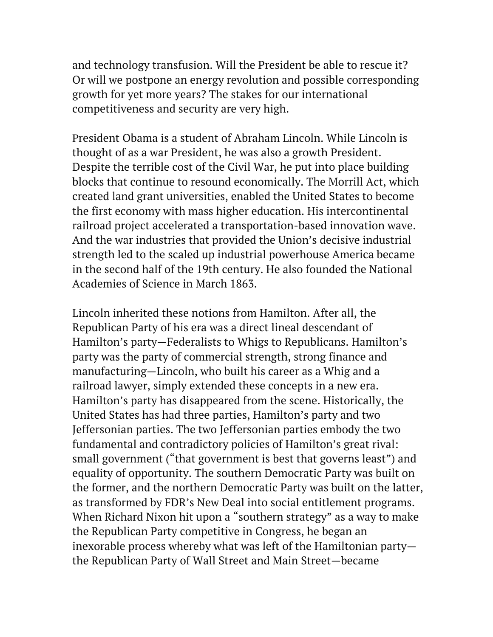and technology transfusion. Will the President be able to rescue it? Or will we postpone an energy revolution and possible corresponding growth for yet more years? The stakes for our international competitiveness and security are very high.

President Obama is a student of Abraham Lincoln. While Lincoln is thought of as a war President, he was also a growth President. Despite the terrible cost of the Civil War, he put into place building blocks that continue to resound economically. The Morrill Act, which created land grant universities, enabled the United States to become the first economy with mass higher education. His intercontinental railroad project accelerated a transportation-based innovation wave. And the war industries that provided the Union's decisive industrial strength led to the scaled up industrial powerhouse America became in the second half of the 19th century. He also founded the National Academies of Science in March 1863.

Lincoln inherited these notions from Hamilton. After all, the Republican Party of his era was a direct lineal descendant of Hamilton's party—Federalists to Whigs to Republicans. Hamilton's party was the party of commercial strength, strong finance and manufacturing—Lincoln, who built his career as a Whig and a railroad lawyer, simply extended these concepts in a new era. Hamilton's party has disappeared from the scene. Historically, the United States has had three parties, Hamilton's party and two Jeffersonian parties. The two Jeffersonian parties embody the two fundamental and contradictory policies of Hamilton's great rival: small government ("that government is best that governs least") and equality of opportunity. The southern Democratic Party was built on the former, and the northern Democratic Party was built on the latter, as transformed by FDR's New Deal into social entitlement programs. When Richard Nixon hit upon a "southern strategy" as a way to make the Republican Party competitive in Congress, he began an inexorable process whereby what was left of the Hamiltonian party the Republican Party of Wall Street and Main Street—became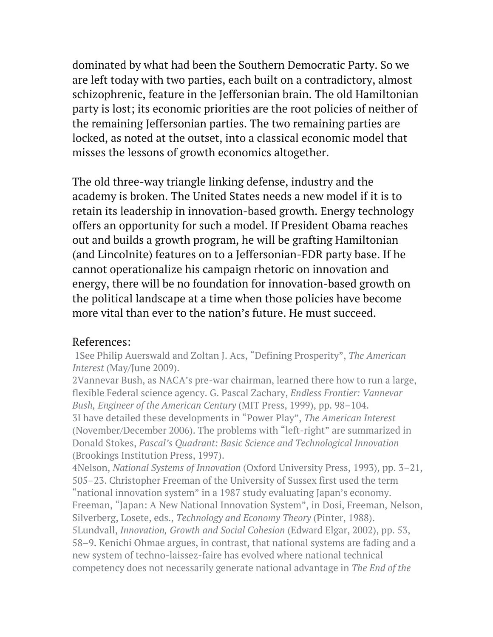dominated by what had been the Southern Democratic Party. So we are left today with two parties, each built on a contradictory, almost schizophrenic, feature in the Jeffersonian brain. The old Hamiltonian party is lost; its economic priorities are the root policies of neither of the remaining Jeffersonian parties. The two remaining parties are locked, as noted at the outset, into a classical economic model that misses the lessons of growth economics altogether.

The old three-way triangle linking defense, industry and the academy is broken. The United States needs a new model if it is to retain its leadership in innovation-based growth. Energy technology offers an opportunity for such a model. If President Obama reaches out and builds a growth program, he will be grafting Hamiltonian (and Lincolnite) features on to a Jeffersonian-FDR party base. If he cannot operationalize his campaign rhetoric on innovation and energy, there will be no foundation for innovation-based growth on the political landscape at a time when those policies have become more vital than ever to the nation's future. He must succeed.

#### References:

1See Philip Auerswald and Zoltan J. Acs, "Defining Prosperity", *The American Interest* (May/June 2009).

2Vannevar Bush, as NACA's pre-war chairman, learned there how to run a large, flexible Federal science agency. G. Pascal Zachary, *Endless Frontier: Vannevar Bush, Engineer of the American Century* (MIT Press, 1999), pp. 98–104. 3I have detailed these developments in "Power Play", *The American Interest* (November/December 2006). The problems with "left-right" are summarized in Donald Stokes, *Pascal's Quadrant: Basic Science and Technological Innovation* (Brookings Institution Press, 1997).

4Nelson, *National Systems of Innovation* (Oxford University Press, 1993), pp. 3–21, 505–23. Christopher Freeman of the University of Sussex first used the term "national innovation system" in a 1987 study evaluating Japan's economy. Freeman, "Japan: A New National Innovation System", in Dosi, Freeman, Nelson, Silverberg, Losete, eds., *Technology and Economy Theory* (Pinter, 1988). 5Lundvall, *Innovation, Growth and Social Cohesion* (Edward Elgar, 2002), pp. 53, 58–9. Kenichi Ohmae argues, in contrast, that national systems are fading and a new system of techno-laissez-faire has evolved where national technical competency does not necessarily generate national advantage in *The End of the*